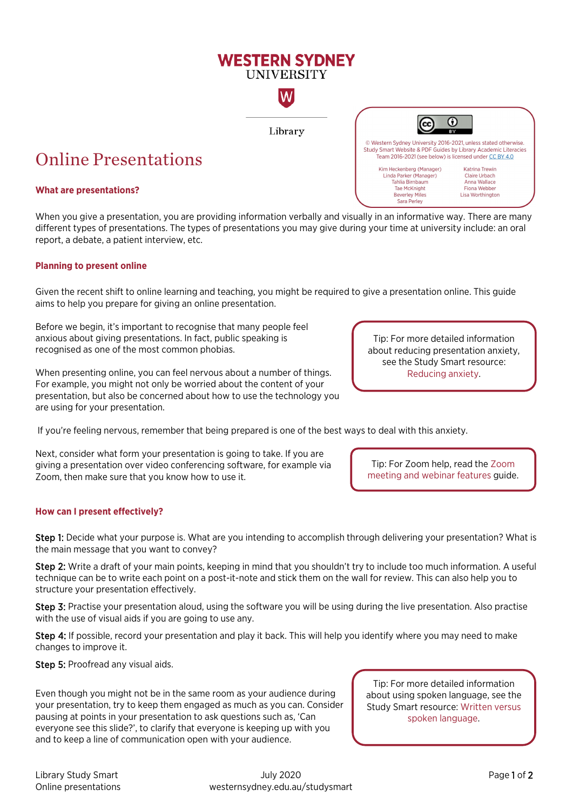# **WESTERN SYDNEY UNIVERSITY** W

Library

# Online Presentations

## **What are presentations?**

When you give a presentation, you are providing information verbally and visually in an informative way. There are many different types of presentations. The types of presentations you may give during your time at university include: an oral report, a debate, a patient interview, etc.

### **Planning to present online**

Given the recent shift to online learning and teaching, you might be required to give a presentation online. This guide aims to help you prepare for giving an online presentation.

Before we begin, it's important to recognise that many people feel anxious about giving presentations. In fact, public speaking is recognised as one of the most common phobias.

When presenting online, you can feel nervous about a number of things. For example, you might not only be worried about the content of your presentation, but also be concerned about how to use the technology you are using for your presentation.

If you're feeling nervous, remember that being prepared is one of the best ways to deal with this anxiety.

Next, consider what form your presentation is going to take. If you are giving a presentation over video conferencing software, for example via Zoom, then make sure that you know how to use it.

# **How can I present effectively?**

Step 1: Decide what your purpose is. What are you intending to accomplish through delivering your presentation? What is the main message that you want to convey?

Step 2: Write a draft of your main points, keeping in mind that you shouldn't try to include too much information. A useful technique can be to write each point on a post-it-note and stick them on the wall for review. This can also help you to structure your presentation effectively.

Step 3: Practise your presentation aloud, using the software you will be using during the live presentation. Also practise with the use of visual aids if you are going to use any.

Step 4: If possible, record your presentation and play it back. This will help you identify where you may need to make changes to improve it.

Step 5: Proofread any visual aids.

Even though you might not be in the same room as your audience during your presentation, try to keep them engaged as much as you can. Consider pausing at points in your presentation to ask questions such as, 'Can everyone see this slide?', to clarify that everyone is keeping up with you and to keep a line of communication open with your audience.

Tip: For more detailed information about using spoken language, see the Study Smart resource[: Written versus](https://westernsydney.edu.au/__data/assets/pdf_file/0006/1082679/Presentations_-_written_vs_spoken_language_2.pdf)  [spoken language.](https://westernsydney.edu.au/__data/assets/pdf_file/0006/1082679/Presentations_-_written_vs_spoken_language_2.pdf)

Tip: For more detailed information about reducing presentation anxiety, see the Study Smart resource: [Reducing anxiety.](https://westernsydney.edu.au/__data/assets/pdf_file/0009/1082673/Presentations_-_reducing_anxiety.pdf) 

 $\odot$ 

**Katrina Trewin** Claire Urbach

Anna Wallace

Fiona Webber Lisa Worthington

© Western Sydney University 2016-2021, unless stated otherwise.<br>Study Smart Website & PDF Guides by Library Academic Literacies Team 2016-2021 (see below) is licensed under CC BY 4.0

Kim Heckenberg (Manager)<br>Linda Parker (Manager)

Tahlia Birnbaum

Tae McKnight

**Beverley Miles** Sara Perley

Tip: For Zoom help, read the [Zoom](https://www.westernsydney.edu.au/__data/assets/pdf_file/0005/1655528/Zoom_meeting_and_webinar_features.pdf)  [meeting and webinar features](https://www.westernsydney.edu.au/__data/assets/pdf_file/0005/1655528/Zoom_meeting_and_webinar_features.pdf) guide.